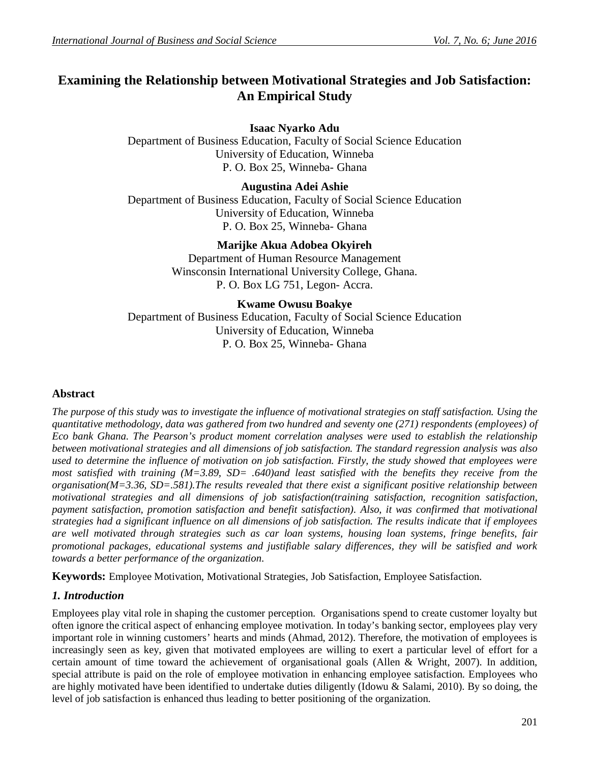# **Examining the Relationship between Motivational Strategies and Job Satisfaction: An Empirical Study**

## **Isaac Nyarko Adu**

Department of Business Education, Faculty of Social Science Education University of Education, Winneba P. O. Box 25, Winneba- Ghana

## **Augustina Adei Ashie**

Department of Business Education, Faculty of Social Science Education University of Education, Winneba P. O. Box 25, Winneba- Ghana

## **Marijke Akua Adobea Okyireh**

Department of Human Resource Management Winsconsin International University College, Ghana. P. O. Box LG 751, Legon- Accra.

## **Kwame Owusu Boakye**

Department of Business Education, Faculty of Social Science Education University of Education, Winneba P. O. Box 25, Winneba- Ghana

### **Abstract**

*The purpose of this study was to investigate the influence of motivational strategies on staff satisfaction. Using the quantitative methodology, data was gathered from two hundred and seventy one (271) respondents (employees) of Eco bank Ghana. The Pearson's product moment correlation analyses were used to establish the relationship between motivational strategies and all dimensions of job satisfaction. The standard regression analysis was also used to determine the influence of motivation on job satisfaction. Firstly, the study showed that employees were most satisfied with training (M=3.89, SD= .640)and least satisfied with the benefits they receive from the organisation(M=3.36, SD=.581).The results revealed that there exist a significant positive relationship between motivational strategies and all dimensions of job satisfaction(training satisfaction, recognition satisfaction, payment satisfaction, promotion satisfaction and benefit satisfaction). Also, it was confirmed that motivational strategies had a significant influence on all dimensions of job satisfaction. The results indicate that if employees are well motivated through strategies such as car loan systems, housing loan systems, fringe benefits, fair promotional packages, educational systems and justifiable salary differences, they will be satisfied and work towards a better performance of the organization.*

**Keywords:** Employee Motivation, Motivational Strategies, Job Satisfaction, Employee Satisfaction.

### *1. Introduction*

Employees play vital role in shaping the customer perception. Organisations spend to create customer loyalty but often ignore the critical aspect of enhancing employee motivation. In today's banking sector, employees play very important role in winning customers' hearts and minds (Ahmad, 2012). Therefore, the motivation of employees is increasingly seen as key, given that motivated employees are willing to exert a particular level of effort for a certain amount of time toward the achievement of organisational goals (Allen & Wright, 2007). In addition, special attribute is paid on the role of employee motivation in enhancing employee satisfaction. Employees who are highly motivated have been identified to undertake duties diligently (Idowu & Salami, 2010). By so doing, the level of job satisfaction is enhanced thus leading to better positioning of the organization.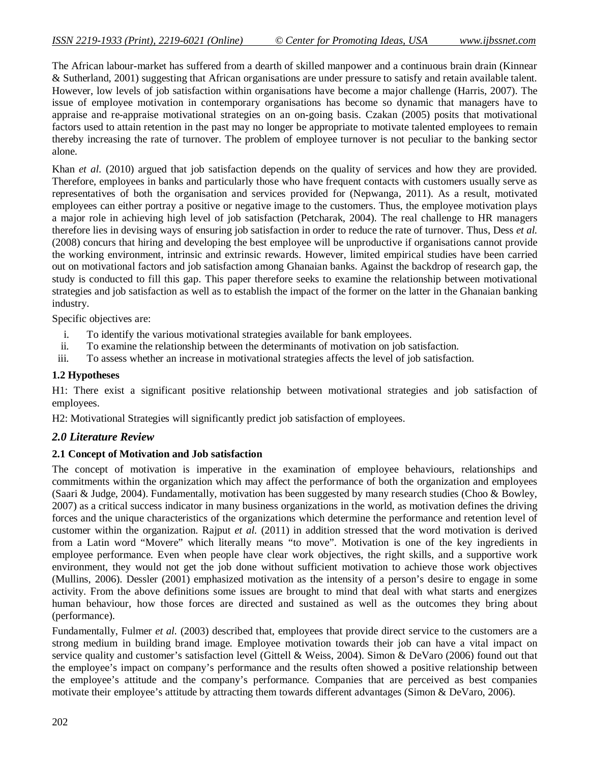The African labour-market has suffered from a dearth of skilled manpower and a continuous brain drain (Kinnear & Sutherland, 2001) suggesting that African organisations are under pressure to satisfy and retain available talent. However, low levels of job satisfaction within organisations have become a major challenge (Harris, 2007). The issue of employee motivation in contemporary organisations has become so dynamic that managers have to appraise and re-appraise motivational strategies on an on-going basis. Czakan (2005) posits that motivational factors used to attain retention in the past may no longer be appropriate to motivate talented employees to remain thereby increasing the rate of turnover. The problem of employee turnover is not peculiar to the banking sector alone.

Khan *et al.* (2010) argued that job satisfaction depends on the quality of services and how they are provided. Therefore, employees in banks and particularly those who have frequent contacts with customers usually serve as representatives of both the organisation and services provided for (Nepwanga, 2011). As a result, motivated employees can either portray a positive or negative image to the customers. Thus, the employee motivation plays a major role in achieving high level of job satisfaction (Petcharak, 2004). The real challenge to HR managers therefore lies in devising ways of ensuring job satisfaction in order to reduce the rate of turnover. Thus, Dess *et al.* (2008) concurs that hiring and developing the best employee will be unproductive if organisations cannot provide the working environment, intrinsic and extrinsic rewards. However, limited empirical studies have been carried out on motivational factors and job satisfaction among Ghanaian banks. Against the backdrop of research gap, the study is conducted to fill this gap. This paper therefore seeks to examine the relationship between motivational strategies and job satisfaction as well as to establish the impact of the former on the latter in the Ghanaian banking industry.

Specific objectives are:

- i. To identify the various motivational strategies available for bank employees.
- ii. To examine the relationship between the determinants of motivation on job satisfaction.
- iii. To assess whether an increase in motivational strategies affects the level of job satisfaction.

### **1.2 Hypotheses**

H1: There exist a significant positive relationship between motivational strategies and job satisfaction of employees.

H2: Motivational Strategies will significantly predict job satisfaction of employees.

### *2.0 Literature Review*

### **2.1 Concept of Motivation and Job satisfaction**

The concept of motivation is imperative in the examination of employee behaviours, relationships and commitments within the organization which may affect the performance of both the organization and employees (Saari & Judge, 2004). Fundamentally, motivation has been suggested by many research studies (Choo & Bowley, 2007) as a critical success indicator in many business organizations in the world, as motivation defines the driving forces and the unique characteristics of the organizations which determine the performance and retention level of customer within the organization. Rajput *et al.* (2011) in addition stressed that the word motivation is derived from a Latin word "Movere" which literally means "to move". Motivation is one of the key ingredients in employee performance. Even when people have clear work objectives, the right skills, and a supportive work environment, they would not get the job done without sufficient motivation to achieve those work objectives (Mullins, 2006). Dessler (2001) emphasized motivation as the intensity of a person's desire to engage in some activity. From the above definitions some issues are brought to mind that deal with what starts and energizes human behaviour, how those forces are directed and sustained as well as the outcomes they bring about (performance).

Fundamentally, Fulmer *et al.* (2003) described that, employees that provide direct service to the customers are a strong medium in building brand image. Employee motivation towards their job can have a vital impact on service quality and customer's satisfaction level (Gittell & Weiss, 2004). Simon & DeVaro (2006) found out that the employee's impact on company's performance and the results often showed a positive relationship between the employee's attitude and the company's performance. Companies that are perceived as best companies motivate their employee's attitude by attracting them towards different advantages (Simon & DeVaro, 2006).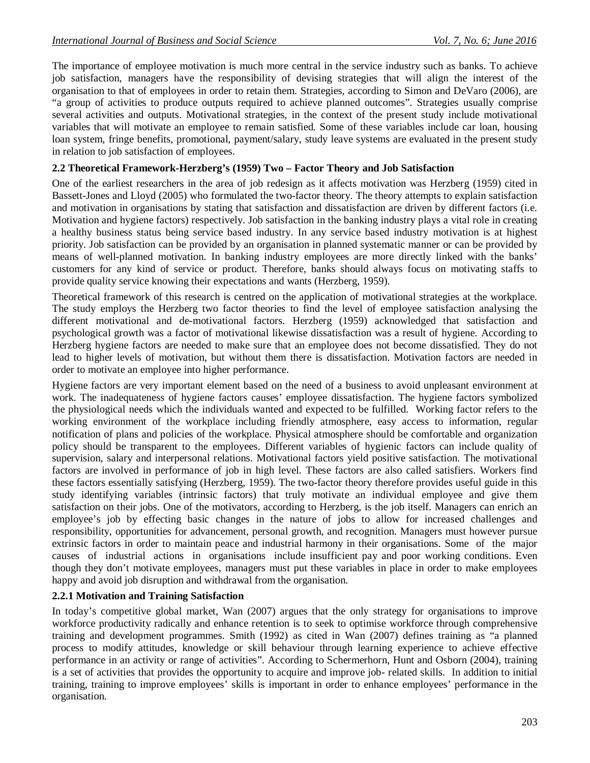The importance of employee motivation is much more central in the service industry such as banks. To achieve job satisfaction, managers have the responsibility of devising strategies that will align the interest of the organisation to that of employees in order to retain them. Strategies, according to Simon and DeVaro (2006), are "a group of activities to produce outputs required to achieve planned outcomes". Strategies usually comprise several activities and outputs. Motivational strategies, in the context of the present study include motivational variables that will motivate an employee to remain satisfied. Some of these variables include car loan, housing loan system, fringe benefits, promotional, payment/salary, study leave systems are evaluated in the present study in relation to job satisfaction of employees.

### **2.2 Theoretical Framework-Herzberg's (1959) Two – Factor Theory and Job Satisfaction**

One of the earliest researchers in the area of job redesign as it affects motivation was Herzberg (1959) cited in Bassett-Jones and Lloyd (2005) who formulated the two-factor theory. The theory attempts to explain satisfaction and motivation in organisations by stating that satisfaction and dissatisfaction are driven by different factors (i.e. Motivation and hygiene factors) respectively. Job satisfaction in the banking industry plays a vital role in creating a healthy business status being service based industry. In any service based industry motivation is at highest priority. Job satisfaction can be provided by an organisation in planned systematic manner or can be provided by means of well-planned motivation. In banking industry employees are more directly linked with the banks' customers for any kind of service or product. Therefore, banks should always focus on motivating staffs to provide quality service knowing their expectations and wants (Herzberg, 1959).

Theoretical framework of this research is centred on the application of motivational strategies at the workplace. The study employs the Herzberg two factor theories to find the level of employee satisfaction analysing the different motivational and de-motivational factors. Herzberg (1959) acknowledged that satisfaction and psychological growth was a factor of motivational likewise dissatisfaction was a result of hygiene. According to Herzberg hygiene factors are needed to make sure that an employee does not become dissatisfied. They do not lead to higher levels of motivation, but without them there is dissatisfaction. Motivation factors are needed in order to motivate an employee into higher performance.

Hygiene factors are very important element based on the need of a business to avoid unpleasant environment at work. The inadequateness of hygiene factors causes' employee dissatisfaction. The hygiene factors symbolized the physiological needs which the individuals wanted and expected to be fulfilled. Working factor refers to the working environment of the workplace including friendly atmosphere, easy access to information, regular notification of plans and policies of the workplace. Physical atmosphere should be comfortable and organization policy should be transparent to the employees. Different variables of hygienic factors can include quality of supervision, salary and interpersonal relations. Motivational factors yield positive satisfaction. The motivational factors are involved in performance of job in high level. These factors are also called satisfiers. Workers find these factors essentially satisfying (Herzberg, 1959). The two-factor theory therefore provides useful guide in this study identifying variables (intrinsic factors) that truly motivate an individual employee and give them satisfaction on their jobs. One of the motivators, according to Herzberg, is the job itself. Managers can enrich an employee's job by effecting basic changes in the nature of jobs to allow for increased challenges and responsibility, opportunities for advancement, personal growth, and recognition. Managers must however pursue extrinsic factors in order to maintain peace and industrial harmony in their organisations. Some of the major causes of industrial actions in organisations include insufficient pay and poor working conditions. Even though they don't motivate employees, managers must put these variables in place in order to make employees happy and avoid job disruption and withdrawal from the organisation.

### **2.2.1 Motivation and Training Satisfaction**

In today's competitive global market, Wan (2007) argues that the only strategy for organisations to improve workforce productivity radically and enhance retention is to seek to optimise workforce through comprehensive training and development programmes. Smith (1992) as cited in Wan (2007) defines training as "a planned process to modify attitudes, knowledge or skill behaviour through learning experience to achieve effective performance in an activity or range of activities". According to Schermerhorn, Hunt and Osborn (2004), training is a set of activities that provides the opportunity to acquire and improve job- related skills. In addition to initial training, training to improve employees' skills is important in order to enhance employees' performance in the organisation.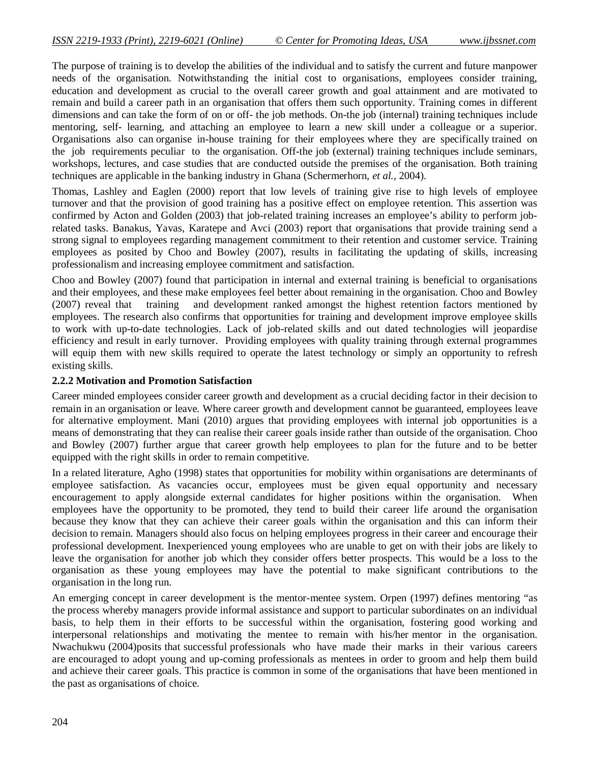The purpose of training is to develop the abilities of the individual and to satisfy the current and future manpower needs of the organisation. Notwithstanding the initial cost to organisations, employees consider training, education and development as crucial to the overall career growth and goal attainment and are motivated to remain and build a career path in an organisation that offers them such opportunity. Training comes in different dimensions and can take the form of on or off- the job methods. On-the job (internal) training techniques include mentoring, self- learning, and attaching an employee to learn a new skill under a colleague or a superior. Organisations also can organise in-house training for their employees where they are specifically trained on the job requirements peculiar to the organisation. Off-the job (external) training techniques include seminars, workshops, lectures, and case studies that are conducted outside the premises of the organisation. Both training techniques are applicable in the banking industry in Ghana (Schermerhorn, *et al.,* 2004).

Thomas, Lashley and Eaglen (2000) report that low levels of training give rise to high levels of employee turnover and that the provision of good training has a positive effect on employee retention. This assertion was confirmed by Acton and Golden (2003) that job-related training increases an employee's ability to perform jobrelated tasks. Banakus, Yavas, Karatepe and Avci (2003) report that organisations that provide training send a strong signal to employees regarding management commitment to their retention and customer service. Training employees as posited by Choo and Bowley (2007), results in facilitating the updating of skills, increasing professionalism and increasing employee commitment and satisfaction.

Choo and Bowley (2007) found that participation in internal and external training is beneficial to organisations and their employees, and these make employees feel better about remaining in the organisation. Choo and Bowley (2007) reveal that training and development ranked amongst the highest retention factors mentioned by employees. The research also confirms that opportunities for training and development improve employee skills to work with up-to-date technologies. Lack of job-related skills and out dated technologies will jeopardise efficiency and result in early turnover. Providing employees with quality training through external programmes will equip them with new skills required to operate the latest technology or simply an opportunity to refresh existing skills.

#### **2.2.2 Motivation and Promotion Satisfaction**

Career minded employees consider career growth and development as a crucial deciding factor in their decision to remain in an organisation or leave. Where career growth and development cannot be guaranteed, employees leave for alternative employment. Mani (2010) argues that providing employees with internal job opportunities is a means of demonstrating that they can realise their career goals inside rather than outside of the organisation. Choo and Bowley (2007) further argue that career growth help employees to plan for the future and to be better equipped with the right skills in order to remain competitive.

In a related literature, Agho (1998) states that opportunities for mobility within organisations are determinants of employee satisfaction. As vacancies occur, employees must be given equal opportunity and necessary encouragement to apply alongside external candidates for higher positions within the organisation. When employees have the opportunity to be promoted, they tend to build their career life around the organisation because they know that they can achieve their career goals within the organisation and this can inform their decision to remain. Managers should also focus on helping employees progress in their career and encourage their professional development. Inexperienced young employees who are unable to get on with their jobs are likely to leave the organisation for another job which they consider offers better prospects. This would be a loss to the organisation as these young employees may have the potential to make significant contributions to the organisation in the long run.

An emerging concept in career development is the mentor-mentee system. Orpen (1997) defines mentoring "as the process whereby managers provide informal assistance and support to particular subordinates on an individual basis, to help them in their efforts to be successful within the organisation, fostering good working and interpersonal relationships and motivating the mentee to remain with his/her mentor in the organisation. Nwachukwu (2004)posits that successful professionals who have made their marks in their various careers are encouraged to adopt young and up-coming professionals as mentees in order to groom and help them build and achieve their career goals. This practice is common in some of the organisations that have been mentioned in the past as organisations of choice.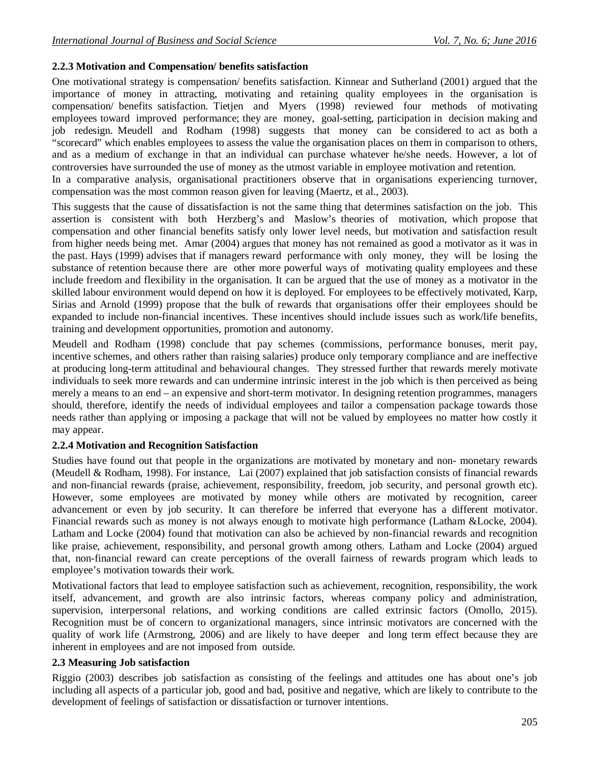### **2.2.3 Motivation and Compensation/ benefits satisfaction**

One motivational strategy is compensation/ benefits satisfaction. Kinnear and Sutherland (2001) argued that the importance of money in attracting, motivating and retaining quality employees in the organisation is compensation/ benefits satisfaction. Tietjen and Myers (1998) reviewed four methods of motivating employees toward improved performance; they are money, goal-setting, participation in decision making and job redesign. Meudell and Rodham (1998) suggests that money can be considered to act as both a "scorecard" which enables employees to assess the value the organisation places on them in comparison to others, and as a medium of exchange in that an individual can purchase whatever he/she needs. However, a lot of controversies have surrounded the use of money as the utmost variable in employee motivation and retention.

In a comparative analysis, organisational practitioners observe that in organisations experiencing turnover, compensation was the most common reason given for leaving (Maertz, et al., 2003).

This suggests that the cause of dissatisfaction is not the same thing that determines satisfaction on the job. This assertion is consistent with both Herzberg's and Maslow's theories of motivation, which propose that compensation and other financial benefits satisfy only lower level needs, but motivation and satisfaction result from higher needs being met. Amar (2004) argues that money has not remained as good a motivator as it was in the past. Hays (1999) advises that if managers reward performance with only money, they will be losing the substance of retention because there are other more powerful ways of motivating quality employees and these include freedom and flexibility in the organisation. It can be argued that the use of money as a motivator in the skilled labour environment would depend on how it is deployed. For employees to be effectively motivated, Karp, Sirias and Arnold (1999) propose that the bulk of rewards that organisations offer their employees should be expanded to include non-financial incentives. These incentives should include issues such as work/life benefits, training and development opportunities, promotion and autonomy.

Meudell and Rodham (1998) conclude that pay schemes (commissions, performance bonuses, merit pay, incentive schemes, and others rather than raising salaries) produce only temporary compliance and are ineffective at producing long-term attitudinal and behavioural changes. They stressed further that rewards merely motivate individuals to seek more rewards and can undermine intrinsic interest in the job which is then perceived as being merely a means to an end – an expensive and short-term motivator. In designing retention programmes, managers should, therefore, identify the needs of individual employees and tailor a compensation package towards those needs rather than applying or imposing a package that will not be valued by employees no matter how costly it may appear.

### **2.2.4 Motivation and Recognition Satisfaction**

Studies have found out that people in the organizations are motivated by monetary and non- monetary rewards (Meudell & Rodham, 1998). For instance, Lai (2007) explained that job satisfaction consists of financial rewards and non-financial rewards (praise, achievement, responsibility, freedom, job security, and personal growth etc). However, some employees are motivated by money while others are motivated by recognition, career advancement or even by job security. It can therefore be inferred that everyone has a different motivator. Financial rewards such as money is not always enough to motivate high performance (Latham &Locke, 2004). Latham and Locke (2004) found that motivation can also be achieved by non-financial rewards and recognition like praise, achievement, responsibility, and personal growth among others. Latham and Locke (2004) argued that, non-financial reward can create perceptions of the overall fairness of rewards program which leads to employee's motivation towards their work.

Motivational factors that lead to employee satisfaction such as achievement, recognition, responsibility, the work itself, advancement, and growth are also intrinsic factors, whereas company policy and administration, supervision, interpersonal relations, and working conditions are called extrinsic factors (Omollo, 2015). Recognition must be of concern to organizational managers, since intrinsic motivators are concerned with the quality of work life (Armstrong, 2006) and are likely to have deeper and long term effect because they are inherent in employees and are not imposed from outside.

### **2.3 Measuring Job satisfaction**

Riggio (2003) describes job satisfaction as consisting of the feelings and attitudes one has about one's job including all aspects of a particular job, good and bad, positive and negative, which are likely to contribute to the development of feelings of satisfaction or dissatisfaction or turnover intentions.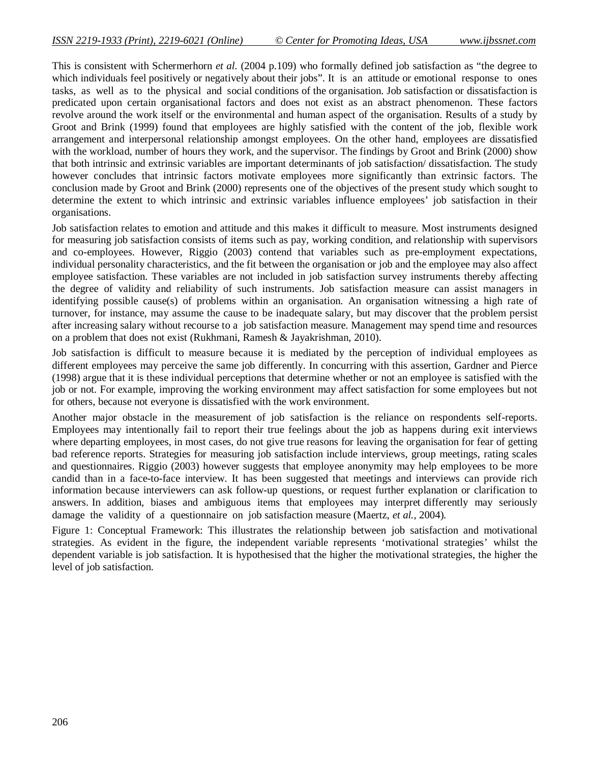This is consistent with Schermerhorn *et al.* (2004 p.109) who formally defined job satisfaction as "the degree to which individuals feel positively or negatively about their jobs". It is an attitude or emotional response to ones tasks, as well as to the physical and social conditions of the organisation. Job satisfaction or dissatisfaction is predicated upon certain organisational factors and does not exist as an abstract phenomenon. These factors revolve around the work itself or the environmental and human aspect of the organisation. Results of a study by Groot and Brink (1999) found that employees are highly satisfied with the content of the job, flexible work arrangement and interpersonal relationship amongst employees. On the other hand, employees are dissatisfied with the workload, number of hours they work, and the supervisor. The findings by Groot and Brink (2000) show that both intrinsic and extrinsic variables are important determinants of job satisfaction/ dissatisfaction. The study however concludes that intrinsic factors motivate employees more significantly than extrinsic factors. The conclusion made by Groot and Brink (2000) represents one of the objectives of the present study which sought to determine the extent to which intrinsic and extrinsic variables influence employees' job satisfaction in their organisations.

Job satisfaction relates to emotion and attitude and this makes it difficult to measure. Most instruments designed for measuring job satisfaction consists of items such as pay, working condition, and relationship with supervisors and co-employees. However, Riggio (2003) contend that variables such as pre-employment expectations, individual personality characteristics, and the fit between the organisation or job and the employee may also affect employee satisfaction. These variables are not included in job satisfaction survey instruments thereby affecting the degree of validity and reliability of such instruments. Job satisfaction measure can assist managers in identifying possible cause(s) of problems within an organisation. An organisation witnessing a high rate of turnover, for instance, may assume the cause to be inadequate salary, but may discover that the problem persist after increasing salary without recourse to a job satisfaction measure. Management may spend time and resources on a problem that does not exist (Rukhmani, Ramesh & Jayakrishman, 2010).

Job satisfaction is difficult to measure because it is mediated by the perception of individual employees as different employees may perceive the same job differently. In concurring with this assertion, Gardner and Pierce (1998) argue that it is these individual perceptions that determine whether or not an employee is satisfied with the job or not. For example, improving the working environment may affect satisfaction for some employees but not for others, because not everyone is dissatisfied with the work environment.

Another major obstacle in the measurement of job satisfaction is the reliance on respondents self-reports. Employees may intentionally fail to report their true feelings about the job as happens during exit interviews where departing employees, in most cases, do not give true reasons for leaving the organisation for fear of getting bad reference reports. Strategies for measuring job satisfaction include interviews, group meetings, rating scales and questionnaires. Riggio (2003) however suggests that employee anonymity may help employees to be more candid than in a face-to-face interview. It has been suggested that meetings and interviews can provide rich information because interviewers can ask follow-up questions, or request further explanation or clarification to answers. In addition, biases and ambiguous items that employees may interpret differently may seriously damage the validity of a questionnaire on job satisfaction measure (Maertz, *et al.,* 2004).

Figure 1: Conceptual Framework: This illustrates the relationship between job satisfaction and motivational strategies. As evident in the figure, the independent variable represents 'motivational strategies' whilst the dependent variable is job satisfaction. It is hypothesised that the higher the motivational strategies, the higher the level of job satisfaction.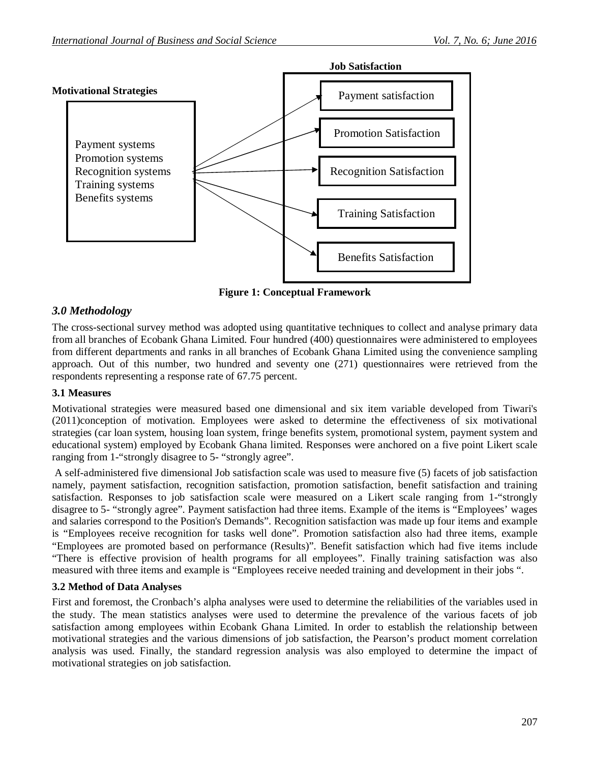

**Figure 1: Conceptual Framework**

### *3.0 Methodology*

The cross-sectional survey method was adopted using quantitative techniques to collect and analyse primary data from all branches of Ecobank Ghana Limited. Four hundred (400) questionnaires were administered to employees from different departments and ranks in all branches of Ecobank Ghana Limited using the convenience sampling approach. Out of this number, two hundred and seventy one (271) questionnaires were retrieved from the respondents representing a response rate of 67.75 percent.

### **3.1 Measures**

Motivational strategies were measured based one dimensional and six item variable developed from Tiwari's (2011)conception of motivation. Employees were asked to determine the effectiveness of six motivational strategies (car loan system, housing loan system, fringe benefits system, promotional system, payment system and educational system) employed by Ecobank Ghana limited. Responses were anchored on a five point Likert scale ranging from 1-"strongly disagree to 5- "strongly agree".

A self-administered five dimensional Job satisfaction scale was used to measure five (5) facets of job satisfaction namely, payment satisfaction, recognition satisfaction, promotion satisfaction, benefit satisfaction and training satisfaction. Responses to job satisfaction scale were measured on a Likert scale ranging from 1-"strongly disagree to 5- "strongly agree". Payment satisfaction had three items. Example of the items is "Employees' wages and salaries correspond to the Position's Demands". Recognition satisfaction was made up four items and example is "Employees receive recognition for tasks well done". Promotion satisfaction also had three items, example "Employees are promoted based on performance (Results)". Benefit satisfaction which had five items include "There is effective provision of health programs for all employees". Finally training satisfaction was also measured with three items and example is "Employees receive needed training and development in their jobs ".

### **3.2 Method of Data Analyses**

First and foremost, the Cronbach's alpha analyses were used to determine the reliabilities of the variables used in the study. The mean statistics analyses were used to determine the prevalence of the various facets of job satisfaction among employees within Ecobank Ghana Limited. In order to establish the relationship between motivational strategies and the various dimensions of job satisfaction, the Pearson's product moment correlation analysis was used. Finally, the standard regression analysis was also employed to determine the impact of motivational strategies on job satisfaction.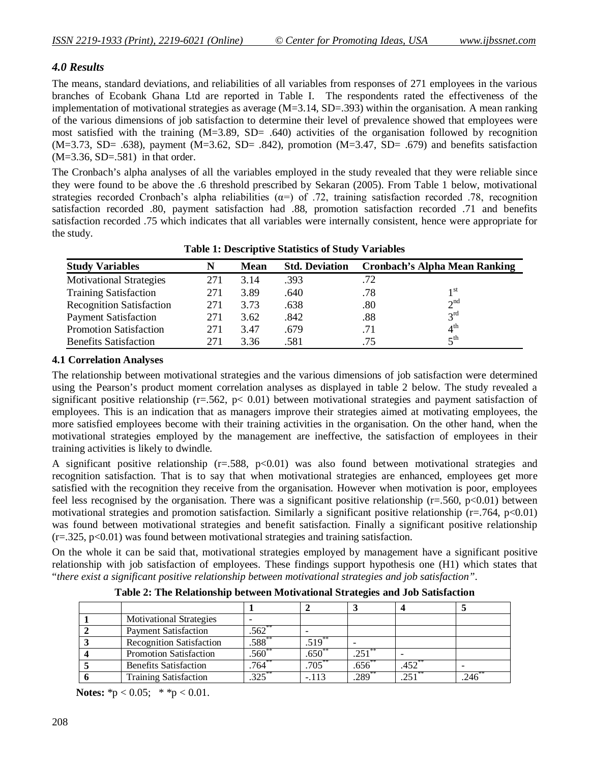### *4.0 Results*

The means, standard deviations, and reliabilities of all variables from responses of 271 employees in the various branches of Ecobank Ghana Ltd are reported in Table I. The respondents rated the effectiveness of the implementation of motivational strategies as average (M=3.14, SD=.393) within the organisation. A mean ranking of the various dimensions of job satisfaction to determine their level of prevalence showed that employees were most satisfied with the training (M=3.89, SD= .640) activities of the organisation followed by recognition  $(M=3.73, SD= .638)$ , payment  $(M=3.62, SD= .842)$ , promotion  $(M=3.47, SD= .679)$  and benefits satisfaction  $(M=3.36, SD=.581)$  in that order.

The Cronbach's alpha analyses of all the variables employed in the study revealed that they were reliable since they were found to be above the .6 threshold prescribed by Sekaran (2005). From Table 1 below, motivational strategies recorded Cronbach's alpha reliabilities  $(\alpha =)$  of .72, training satisfaction recorded .78, recognition satisfaction recorded .80, payment satisfaction had .88, promotion satisfaction recorded .71 and benefits satisfaction recorded .75 which indicates that all variables were internally consistent, hence were appropriate for the study.

| <b>Study Variables</b>          |     | <b>Mean</b> | <b>Std. Deviation</b> | <b>Cronbach's Alpha Mean Ranking</b> |                       |  |
|---------------------------------|-----|-------------|-----------------------|--------------------------------------|-----------------------|--|
| <b>Motivational Strategies</b>  | 271 | 3.14        | .393                  | .72                                  |                       |  |
| <b>Training Satisfaction</b>    | 271 | 3.89        | .640                  | .78                                  | 1 <sup>st</sup>       |  |
| <b>Recognition Satisfaction</b> | 271 | 3.73        | .638                  | .80                                  | $2^{nd}$              |  |
| <b>Payment Satisfaction</b>     | 271 | 3.62        | .842                  | .88                                  | $2^{\text{rd}}$       |  |
| <b>Promotion Satisfaction</b>   | 271 | 3.47        | .679                  | .71                                  | $4^{\text{th}}$       |  |
| <b>Benefits Satisfaction</b>    | 271 | 3.36        | .581                  | .75                                  | $\zeta$ <sup>th</sup> |  |

**Table 1: Descriptive Statistics of Study Variables**

### **4.1 Correlation Analyses**

The relationship between motivational strategies and the various dimensions of job satisfaction were determined using the Pearson's product moment correlation analyses as displayed in table 2 below. The study revealed a significant positive relationship ( $r = .562$ ,  $p < 0.01$ ) between motivational strategies and payment satisfaction of employees. This is an indication that as managers improve their strategies aimed at motivating employees, the more satisfied employees become with their training activities in the organisation. On the other hand, when the motivational strategies employed by the management are ineffective, the satisfaction of employees in their training activities is likely to dwindle.

A significant positive relationship (r=.588, p<0.01) was also found between motivational strategies and recognition satisfaction. That is to say that when motivational strategies are enhanced, employees get more satisfied with the recognition they receive from the organisation. However when motivation is poor, employees feel less recognised by the organisation. There was a significant positive relationship ( $r = .560$ ,  $p < 0.01$ ) between motivational strategies and promotion satisfaction. Similarly a significant positive relationship ( $r = .764$ ,  $p < 0.01$ ) was found between motivational strategies and benefit satisfaction. Finally a significant positive relationship  $(r=.325, p<0.01)$  was found between motivational strategies and training satisfaction.

On the whole it can be said that, motivational strategies employed by management have a significant positive relationship with job satisfaction of employees. These findings support hypothesis one (H1) which states that "*there exist a significant positive relationship between motivational strategies and job satisfaction"*.

| <b>Motivational Strategies</b>  |             |                       |            |          |     |
|---------------------------------|-------------|-----------------------|------------|----------|-----|
| <b>Payment Satisfaction</b>     | $.562^{**}$ |                       |            |          |     |
| <b>Recognition Satisfaction</b> | $.588^{**}$ | $\overline{519}^{**}$ |            |          |     |
| Promotion Satisfaction          | $.560^{**}$ | $.650**$              | $.251***$  |          |     |
| <b>Benefits Satisfaction</b>    | .764°       | $.705^{**}$           | .656       | $.452**$ |     |
| <b>Training Satisfaction</b>    | 225         | $-.113$               | $289^{**}$ | 251      | 246 |

**Table 2: The Relationship between Motivational Strategies and Job Satisfaction**

**Notes:**  $* p < 0.05$ ;  $* p < 0.01$ .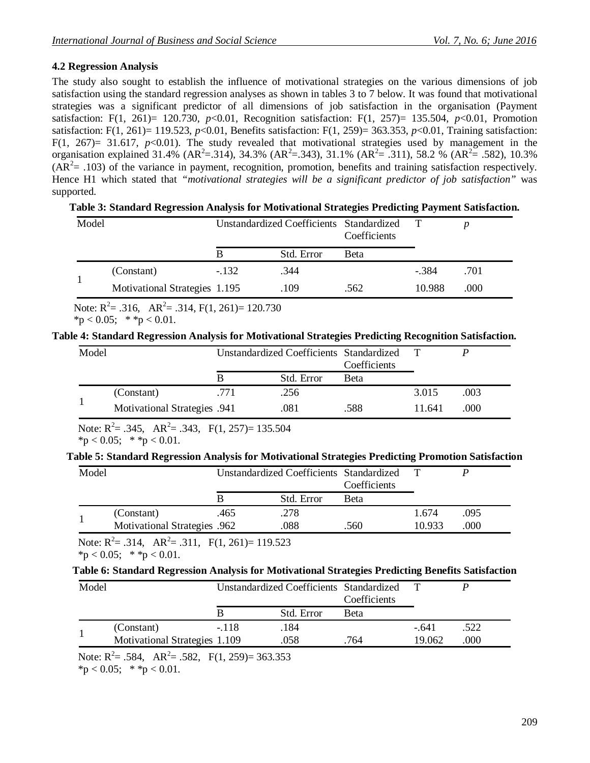### **4.2 Regression Analysis**

The study also sought to establish the influence of motivational strategies on the various dimensions of job satisfaction using the standard regression analyses as shown in tables 3 to 7 below. It was found that motivational strategies was a significant predictor of all dimensions of job satisfaction in the organisation (Payment satisfaction: F(1, 261)= 120.730, *p*<0.01, Recognition satisfaction: F(1, 257)= 135.504, *p*<0.01, Promotion satisfaction: F(1, 261)= 119.523, *p*<0.01, Benefits satisfaction: F(1, 259)= 363.353, *p*<0.01, Training satisfaction:  $F(1, 267) = 31.617$ ,  $p < 0.01$ ). The study revealed that motivational strategies used by management in the organisation explained 31.4% (AR<sup>2</sup>=.314), 34.3% (AR<sup>2</sup>=.343), 31.1% (AR<sup>2</sup>=.311), 58.2 % (AR<sup>2</sup>= .582), 10.3%  $(AR<sup>2</sup>= .103)$  of the variance in payment, recognition, promotion, benefits and training satisfaction respectively. Hence H1 which stated that *"motivational strategies will be a significant predictor of job satisfaction"* was supported.

| Model |                               | Unstandardized Coefficients Standardized |            | Coefficients |        |      |
|-------|-------------------------------|------------------------------------------|------------|--------------|--------|------|
|       |                               |                                          | Std. Error | <b>B</b> eta |        |      |
|       | (Constant)                    | $-132$                                   | .344       |              | $-384$ | .701 |
|       | Motivational Strategies 1.195 |                                          | 109        | .562         | 10.988 | .000 |

### **Table 3: Standard Regression Analysis for Motivational Strategies Predicting Payment Satisfaction.**

Note:  $R^2 = .316$ ,  $AR^2 = .314$ ,  $F(1, 261) = 120.730$ 

$$
*p < 0.05; * *p < 0.01.
$$

### **Table 4: Standard Regression Analysis for Motivational Strategies Predicting Recognition Satisfaction.**

| Model |                                     | Unstandardized Coefficients Standardized |            | Coefficients |        |      |
|-------|-------------------------------------|------------------------------------------|------------|--------------|--------|------|
|       |                                     |                                          | Std. Error | Beta         |        |      |
|       | (Constant)                          | .771                                     | .256       |              | 3.015  | .003 |
|       | <b>Motivational Strategies</b> .941 |                                          | .081       | .588         | 11.641 | .000 |

Note:  $R^2 = .345$ ,  $AR^2 = .343$ ,  $F(1, 257) = 135.504$  $*_{p} < 0.05;$  \*  $*_{p} < 0.01.$ 

#### **Table 5: Standard Regression Analysis for Motivational Strategies Predicting Promotion Satisfaction**

| Model |                              |      | Unstandardized Coefficients Standardized | Coefficients |        |      |
|-------|------------------------------|------|------------------------------------------|--------------|--------|------|
|       |                              | В    | Std. Error                               | Beta         |        |      |
|       | (Constant)                   | .465 | .278                                     |              | 1.674  | .095 |
|       | Motivational Strategies .962 |      | .088                                     | .560         | 10.933 | .000 |

Note:  $R^2 = .314$ ,  $AR^2 = .311$ ,  $F(1, 261) = 119.523$  $*_{p}$  < 0.05;  $*_{p}$  < 0.01.

#### **Table 6: Standard Regression Analysis for Motivational Strategies Predicting Benefits Satisfaction**

| Model |                               | Unstandardized Coefficients Standardized |            | Coefficients |         |      |
|-------|-------------------------------|------------------------------------------|------------|--------------|---------|------|
|       |                               | B                                        | Std. Error | Beta         |         |      |
|       | (Constant)                    | $-.118$                                  | .184       |              | $-.641$ | .522 |
|       | Motivational Strategies 1.109 |                                          | .058       | 764          | 19.062  | .000 |

Note:  $R^2 = .584$ ,  $AR^2 = .582$ ,  $F(1, 259) = 363.353$  $*_{p} < 0.05;$  \*  $*_{p} < 0.01.$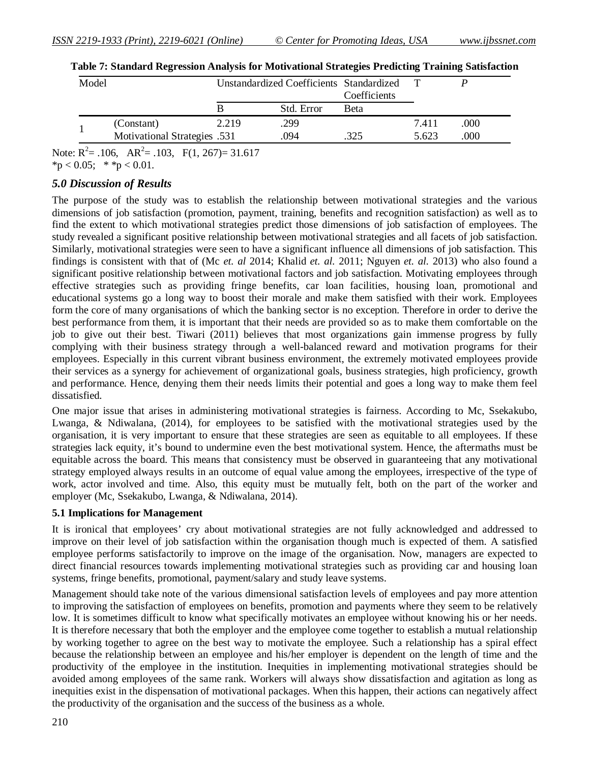| Model |                                     | Unstandardized Coefficients Standardized |            | Coefficients |       |      |  |
|-------|-------------------------------------|------------------------------------------|------------|--------------|-------|------|--|
|       |                                     |                                          | Std. Error | Beta         |       |      |  |
|       | (Constant)                          | 2.219                                    | .299       |              | 7.411 | .000 |  |
|       | <b>Motivational Strategies .531</b> |                                          | .094       | 325          | 5.623 | 000  |  |

Note:  $R^2 = .106$ ,  $AR^2 = .103$ ,  $F(1, 267) = 31.617$  $*_{p} < 0.05;$  \*  $*_{p} < 0.01.$ 

#### *5.0 Discussion of Results*

The purpose of the study was to establish the relationship between motivational strategies and the various dimensions of job satisfaction (promotion, payment, training, benefits and recognition satisfaction) as well as to find the extent to which motivational strategies predict those dimensions of job satisfaction of employees. The study revealed a significant positive relationship between motivational strategies and all facets of job satisfaction. Similarly, motivational strategies were seen to have a significant influence all dimensions of job satisfaction. This findings is consistent with that of (Mc *et. al* 2014; Khalid *et. al.* 2011; Nguyen *et. al.* 2013) who also found a significant positive relationship between motivational factors and job satisfaction. Motivating employees through effective strategies such as providing fringe benefits, car loan facilities, housing loan, promotional and educational systems go a long way to boost their morale and make them satisfied with their work. Employees form the core of many organisations of which the banking sector is no exception. Therefore in order to derive the best performance from them, it is important that their needs are provided so as to make them comfortable on the job to give out their best. Tiwari (2011) believes that most organizations gain immense progress by fully complying with their business strategy through a well-balanced reward and motivation programs for their employees. Especially in this current vibrant business environment, the extremely motivated employees provide their services as a synergy for achievement of organizational goals, business strategies, high proficiency, growth and performance. Hence, denying them their needs limits their potential and goes a long way to make them feel dissatisfied.

One major issue that arises in administering motivational strategies is fairness. According to Mc, Ssekakubo, Lwanga, & Ndiwalana, (2014), for employees to be satisfied with the motivational strategies used by the organisation, it is very important to ensure that these strategies are seen as equitable to all employees. If these strategies lack equity, it's bound to undermine even the best motivational system. Hence, the aftermaths must be equitable across the board. This means that consistency must be observed in guaranteeing that any motivational strategy employed always results in an outcome of equal value among the employees, irrespective of the type of work, actor involved and time. Also, this equity must be mutually felt, both on the part of the worker and employer (Mc, Ssekakubo, Lwanga, & Ndiwalana, 2014).

#### **5.1 Implications for Management**

It is ironical that employees' cry about motivational strategies are not fully acknowledged and addressed to improve on their level of job satisfaction within the organisation though much is expected of them. A satisfied employee performs satisfactorily to improve on the image of the organisation. Now, managers are expected to direct financial resources towards implementing motivational strategies such as providing car and housing loan systems, fringe benefits, promotional, payment/salary and study leave systems.

Management should take note of the various dimensional satisfaction levels of employees and pay more attention to improving the satisfaction of employees on benefits, promotion and payments where they seem to be relatively low. It is sometimes difficult to know what specifically motivates an employee without knowing his or her needs. It is therefore necessary that both the employer and the employee come together to establish a mutual relationship by working together to agree on the best way to motivate the employee. Such a relationship has a spiral effect because the relationship between an employee and his/her employer is dependent on the length of time and the productivity of the employee in the institution. Inequities in implementing motivational strategies should be avoided among employees of the same rank. Workers will always show dissatisfaction and agitation as long as inequities exist in the dispensation of motivational packages. When this happen, their actions can negatively affect the productivity of the organisation and the success of the business as a whole.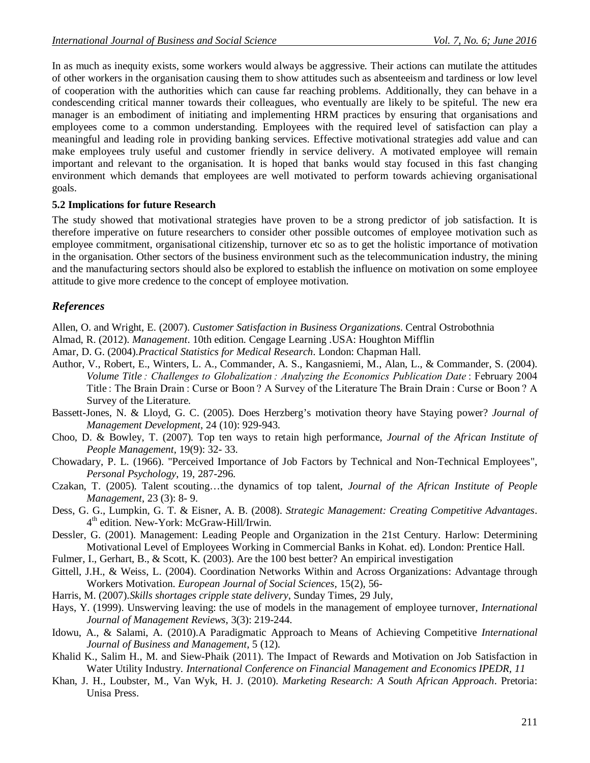In as much as inequity exists, some workers would always be aggressive. Their actions can mutilate the attitudes of other workers in the organisation causing them to show attitudes such as absenteeism and tardiness or low level of cooperation with the authorities which can cause far reaching problems. Additionally, they can behave in a condescending critical manner towards their colleagues, who eventually are likely to be spiteful. The new era manager is an embodiment of initiating and implementing HRM practices by ensuring that organisations and employees come to a common understanding. Employees with the required level of satisfaction can play a meaningful and leading role in providing banking services. Effective motivational strategies add value and can make employees truly useful and customer friendly in service delivery. A motivated employee will remain important and relevant to the organisation. It is hoped that banks would stay focused in this fast changing environment which demands that employees are well motivated to perform towards achieving organisational goals.

### **5.2 Implications for future Research**

The study showed that motivational strategies have proven to be a strong predictor of job satisfaction. It is therefore imperative on future researchers to consider other possible outcomes of employee motivation such as employee commitment, organisational citizenship, turnover etc so as to get the holistic importance of motivation in the organisation. Other sectors of the business environment such as the telecommunication industry, the mining and the manufacturing sectors should also be explored to establish the influence on motivation on some employee attitude to give more credence to the concept of employee motivation.

### *References*

Allen, O. and Wright, E. (2007). *Customer Satisfaction in Business Organizations*. Central Ostrobothnia

- Almad, R. (2012). *Management*. 10th edition. Cengage Learning .USA: Houghton Mifflin
- Amar, D. G. (2004).*Practical Statistics for Medical Research*. London: Chapman Hall.
- Author, V., Robert, E., Winters, L. A., Commander, A. S., Kangasniemi, M., Alan, L., & Commander, S. (2004). *Volume Title : Challenges to Globalization : Analyzing the Economics Publication Date* : February 2004 Title : The Brain Drain : Curse or Boon ? A Survey of the Literature The Brain Drain : Curse or Boon ? A Survey of the Literature.
- Bassett-Jones, N. & Lloyd, G. C. (2005). Does Herzberg's motivation theory have Staying power? *Journal of Management Development*, 24 (10): 929-943.
- Choo, D. & Bowley, T. (2007). Top ten ways to retain high performance, *Journal of the African Institute of People Management*, 19(9): 32- 33.
- Chowadary, P. L. (1966). "Perceived Importance of Job Factors by Technical and Non-Technical Employees", *Personal Psychology*, 19, 287-296.
- Czakan, T. (2005). Talent scouting…the dynamics of top talent, *Journal of the African Institute of People Management*, 23 (3): 8- 9.
- Dess, G. G., Lumpkin, G. T. & Eisner, A. B. (2008). *Strategic Management: Creating Competitive Advantages*. 4 th edition. New-York: McGraw-Hill/Irwin.
- Dessler, G. (2001). Management: Leading People and Organization in the 21st Century. Harlow: Determining Motivational Level of Employees Working in Commercial Banks in Kohat. ed). London: Prentice Hall.
- Fulmer, I., Gerhart, B., & Scott, K. (2003). Are the 100 best better? An empirical investigation
- Gittell, J.H., & Weiss, L. (2004). Coordination Networks Within and Across Organizations: Advantage through Workers Motivation. *European Journal of Social Sciences,* 15(2), 56-
- Harris, M. (2007).*Skills shortages cripple state delivery*, Sunday Times, 29 July,
- Hays, Y. (1999). Unswerving leaving: the use of models in the management of employee turnover, *International Journal of Management Reviews*, 3(3): 219-244.
- Idowu, A., & Salami, A. (2010).A Paradigmatic Approach to Means of Achieving Competitive *International Journal of Business and Management*, 5 (12).
- Khalid K., Salim H., M. and Siew-Phaik (2011). The Impact of Rewards and Motivation on Job Satisfaction in Water Utility Industry*. International Conference on Financial Management and Economics IPEDR, 11*
- Khan, J. H., Loubster, M., Van Wyk, H. J. (2010). *Marketing Research: A South African Approach*. Pretoria: Unisa Press.